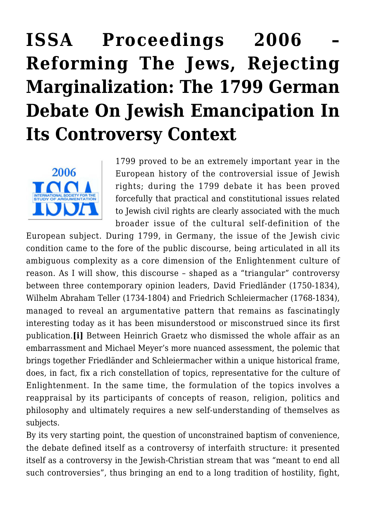# **[ISSA Proceedings 2006 –](https://rozenbergquarterly.com/issa-proceedings-2006-reforming-the-jews-rejecting-marginalization-the-1799-german-debate-on-jewish-emancipation-in-its-controversy-context/) [Reforming The Jews, Rejecting](https://rozenbergquarterly.com/issa-proceedings-2006-reforming-the-jews-rejecting-marginalization-the-1799-german-debate-on-jewish-emancipation-in-its-controversy-context/) [Marginalization: The 1799 German](https://rozenbergquarterly.com/issa-proceedings-2006-reforming-the-jews-rejecting-marginalization-the-1799-german-debate-on-jewish-emancipation-in-its-controversy-context/) [Debate On Jewish Emancipation In](https://rozenbergquarterly.com/issa-proceedings-2006-reforming-the-jews-rejecting-marginalization-the-1799-german-debate-on-jewish-emancipation-in-its-controversy-context/) [Its Controversy Context](https://rozenbergquarterly.com/issa-proceedings-2006-reforming-the-jews-rejecting-marginalization-the-1799-german-debate-on-jewish-emancipation-in-its-controversy-context/)**



1799 proved to be an extremely important year in the European history of the controversial issue of Jewish rights; during the 1799 debate it has been proved forcefully that practical and constitutional issues related to Jewish civil rights are clearly associated with the much broader issue of the cultural self-definition of the

European subject. During 1799, in Germany, the issue of the Jewish civic condition came to the fore of the public discourse, being articulated in all its ambiguous complexity as a core dimension of the Enlightenment culture of reason. As I will show, this discourse – shaped as a "triangular" controversy between three contemporary opinion leaders, David Friedländer (1750-1834), Wilhelm Abraham Teller (1734-1804) and Friedrich Schleiermacher (1768-1834), managed to reveal an argumentative pattern that remains as fascinatingly interesting today as it has been misunderstood or misconstrued since its first publication.**[i]** Between Heinrich Graetz who dismissed the whole affair as an embarrassment and Michael Meyer's more nuanced assessment, the polemic that brings together Friedländer and Schleiermacher within a unique historical frame, does, in fact, fix a rich constellation of topics, representative for the culture of Enlightenment. In the same time, the formulation of the topics involves a reappraisal by its participants of concepts of reason, religion, politics and philosophy and ultimately requires a new self-understanding of themselves as subjects.

By its very starting point, the question of unconstrained baptism of convenience, the debate defined itself as a controversy of interfaith structure: it presented itself as a controversy in the Jewish-Christian stream that was "meant to end all such controversies", thus bringing an end to a long tradition of hostility, fight,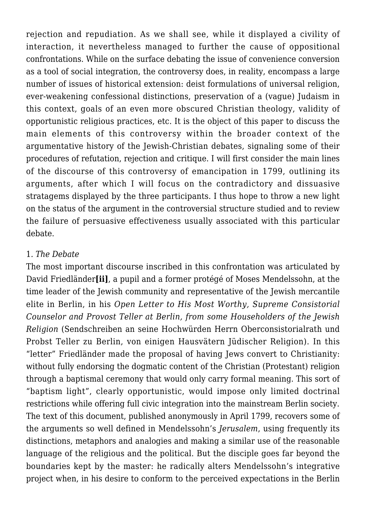rejection and repudiation. As we shall see, while it displayed a civility of interaction, it nevertheless managed to further the cause of oppositional confrontations. While on the surface debating the issue of convenience conversion as a tool of social integration, the controversy does, in reality, encompass a large number of issues of historical extension: deist formulations of universal religion, ever-weakening confessional distinctions, preservation of a (vague) Judaism in this context, goals of an even more obscured Christian theology, validity of opportunistic religious practices, etc. It is the object of this paper to discuss the main elements of this controversy within the broader context of the argumentative history of the Jewish-Christian debates, signaling some of their procedures of refutation, rejection and critique. I will first consider the main lines of the discourse of this controversy of emancipation in 1799, outlining its arguments, after which I will focus on the contradictory and dissuasive stratagems displayed by the three participants. I thus hope to throw a new light on the status of the argument in the controversial structure studied and to review the failure of persuasive effectiveness usually associated with this particular debate.

### 1*. The Debate*

The most important discourse inscribed in this confrontation was articulated by David Friedländer**[ii]**, a pupil and a former protégé of Moses Mendelssohn, at the time leader of the Jewish community and representative of the Jewish mercantile elite in Berlin, in his *Open Letter to His Most Worthy, Supreme Consistorial Counselor and Provost Teller at Berlin, from some Householders of the Jewish Religion* (Sendschreiben an seine Hochwürden Herrn Oberconsistorialrath und Probst Teller zu Berlin, von einigen Hausvätern Jüdischer Religion). In this "letter" Friedländer made the proposal of having Jews convert to Christianity: without fully endorsing the dogmatic content of the Christian (Protestant) religion through a baptismal ceremony that would only carry formal meaning. This sort of "baptism light", clearly opportunistic, would impose only limited doctrinal restrictions while offering full civic integration into the mainstream Berlin society. The text of this document, published anonymously in April 1799, recovers some of the arguments so well defined in Mendelssohn's *Jerusalem*, using frequently its distinctions, metaphors and analogies and making a similar use of the reasonable language of the religious and the political. But the disciple goes far beyond the boundaries kept by the master: he radically alters Mendelssohn's integrative project when, in his desire to conform to the perceived expectations in the Berlin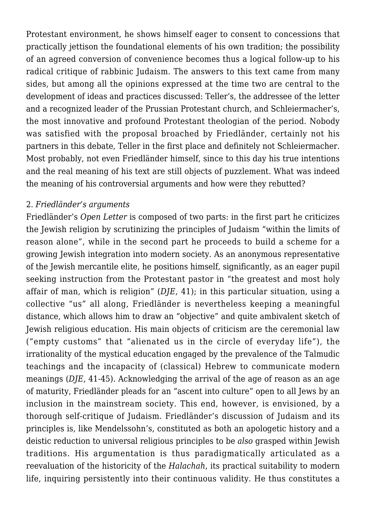Protestant environment, he shows himself eager to consent to concessions that practically jettison the foundational elements of his own tradition; the possibility of an agreed conversion of convenience becomes thus a logical follow-up to his radical critique of rabbinic Judaism. The answers to this text came from many sides, but among all the opinions expressed at the time two are central to the development of ideas and practices discussed: Teller's, the addressee of the letter and a recognized leader of the Prussian Protestant church, and Schleiermacher's, the most innovative and profound Protestant theologian of the period. Nobody was satisfied with the proposal broached by Friedländer, certainly not his partners in this debate, Teller in the first place and definitely not Schleiermacher. Most probably, not even Friedländer himself, since to this day his true intentions and the real meaning of his text are still objects of puzzlement. What was indeed the meaning of his controversial arguments and how were they rebutted?

#### 2. *Friedländer's arguments*

Friedländer's *Open Letter* is composed of two parts: in the first part he criticizes the Jewish religion by scrutinizing the principles of Judaism "within the limits of reason alone", while in the second part he proceeds to build a scheme for a growing Jewish integration into modern society. As an anonymous representative of the Jewish mercantile elite, he positions himself, significantly, as an eager pupil seeking instruction from the Protestant pastor in "the greatest and most holy affair of man, which is religion" (*DJE*, 41); in this particular situation, using a collective "us" all along, Friedländer is nevertheless keeping a meaningful distance, which allows him to draw an "objective" and quite ambivalent sketch of Jewish religious education. His main objects of criticism are the ceremonial law ("empty customs" that "alienated us in the circle of everyday life"), the irrationality of the mystical education engaged by the prevalence of the Talmudic teachings and the incapacity of (classical) Hebrew to communicate modern meanings (*DJE*, 41-45). Acknowledging the arrival of the age of reason as an age of maturity, Friedländer pleads for an "ascent into culture" open to all Jews by an inclusion in the mainstream society. This end, however, is envisioned, by a thorough self-critique of Judaism. Friedländer's discussion of Judaism and its principles is, like Mendelssohn's, constituted as both an apologetic history and a deistic reduction to universal religious principles to be *also* grasped within Jewish traditions. His argumentation is thus paradigmatically articulated as a reevaluation of the historicity of the *Halachah*, its practical suitability to modern life, inquiring persistently into their continuous validity. He thus constitutes a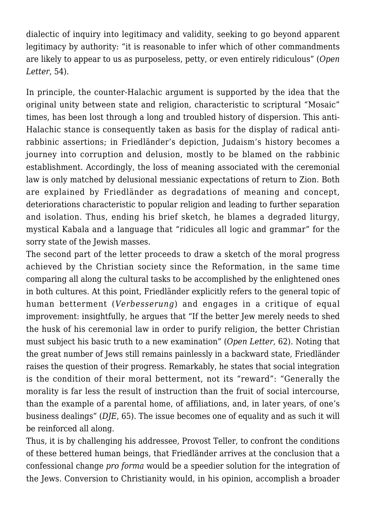dialectic of inquiry into legitimacy and validity, seeking to go beyond apparent legitimacy by authority: "it is reasonable to infer which of other commandments are likely to appear to us as purposeless, petty, or even entirely ridiculous" (*Open Letter*, 54).

In principle, the counter-Halachic argument is supported by the idea that the original unity between state and religion, characteristic to scriptural "Mosaic" times, has been lost through a long and troubled history of dispersion. This anti-Halachic stance is consequently taken as basis for the display of radical antirabbinic assertions; in Friedländer's depiction, Judaism's history becomes a journey into corruption and delusion, mostly to be blamed on the rabbinic establishment. Accordingly, the loss of meaning associated with the ceremonial law is only matched by delusional messianic expectations of return to Zion. Both are explained by Friedländer as degradations of meaning and concept, deteriorations characteristic to popular religion and leading to further separation and isolation. Thus, ending his brief sketch, he blames a degraded liturgy, mystical Kabala and a language that "ridicules all logic and grammar" for the sorry state of the Jewish masses.

The second part of the letter proceeds to draw a sketch of the moral progress achieved by the Christian society since the Reformation, in the same time comparing all along the cultural tasks to be accomplished by the enlightened ones in both cultures. At this point, Friedländer explicitly refers to the general topic of human betterment (*Verbesserung*) and engages in a critique of equal improvement: insightfully, he argues that "If the better Jew merely needs to shed the husk of his ceremonial law in order to purify religion, the better Christian must subject his basic truth to a new examination" (*Open Letter*, 62). Noting that the great number of Jews still remains painlessly in a backward state, Friedländer raises the question of their progress. Remarkably, he states that social integration is the condition of their moral betterment, not its "reward": "Generally the morality is far less the result of instruction than the fruit of social intercourse, than the example of a parental home, of affiliations, and, in later years, of one's business dealings" (*DJE*, 65). The issue becomes one of equality and as such it will be reinforced all along.

Thus, it is by challenging his addressee, Provost Teller, to confront the conditions of these bettered human beings, that Friedländer arrives at the conclusion that a confessional change *pro forma* would be a speedier solution for the integration of the Jews. Conversion to Christianity would, in his opinion, accomplish a broader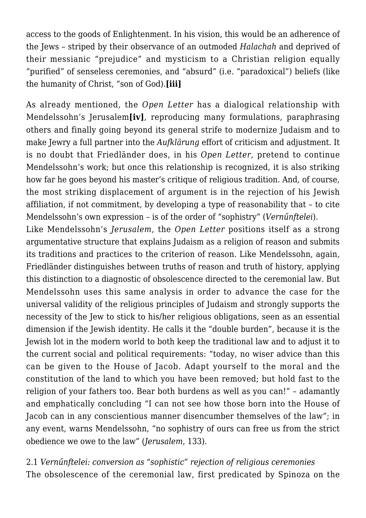access to the goods of Enlightenment. In his vision, this would be an adherence of the Jews – striped by their observance of an outmoded *Halachah* and deprived of their messianic "prejudice" and mysticism to a Christian religion equally "purified" of senseless ceremonies, and "absurd" (i.e. "paradoxical") beliefs (like the humanity of Christ, "son of God).**[iii]**

As already mentioned, the *Open Letter* has a dialogical relationship with Mendelssohn's Jerusalem**[iv]**, reproducing many formulations, paraphrasing others and finally going beyond its general strife to modernize Judaism and to make Jewry a full partner into the *Aufklärung* effort of criticism and adjustment. It is no doubt that Friedländer does, in his *Open Letter*, pretend to continue Mendelssohn's work; but once this relationship is recognized, it is also striking how far he goes beyond his master's critique of religious tradition. And, of course, the most striking displacement of argument is in the rejection of his Jewish affiliation, if not commitment, by developing a type of reasonability that – to cite Mendelssohn's own expression – is of the order of "sophistry" (*Vernűnftelei*).

Like Mendelssohn's *Jerusalem*, the *Open Letter* positions itself as a strong argumentative structure that explains Judaism as a religion of reason and submits its traditions and practices to the criterion of reason. Like Mendelssohn, again, Friedländer distinguishes between truths of reason and truth of history, applying this distinction to a diagnostic of obsolescence directed to the ceremonial law. But Mendelssohn uses this same analysis in order to advance the case for the universal validity of the religious principles of Judaism and strongly supports the necessity of the Jew to stick to his/her religious obligations, seen as an essential dimension if the Jewish identity. He calls it the "double burden", because it is the Jewish lot in the modern world to both keep the traditional law and to adjust it to the current social and political requirements: "today, no wiser advice than this can be given to the House of Jacob. Adapt yourself to the moral and the constitution of the land to which you have been removed; but hold fast to the religion of your fathers too. Bear both burdens as well as you can!" – adamantly and emphatically concluding "I can not see how those born into the House of Jacob can in any conscientious manner disencumber themselves of the law"; in any event, warns Mendelssohn, "no sophistry of ours can free us from the strict obedience we owe to the law" (*Jerusalem*, 133).

2.1 *Vernűnftelei: conversion as "sophistic" rejection of religious ceremonies* The obsolescence of the ceremonial law, first predicated by Spinoza on the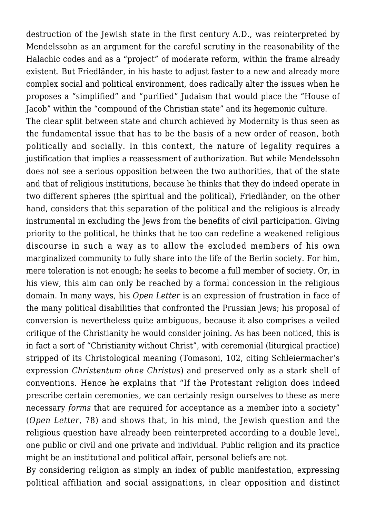destruction of the Jewish state in the first century A.D., was reinterpreted by Mendelssohn as an argument for the careful scrutiny in the reasonability of the Halachic codes and as a "project" of moderate reform, within the frame already existent. But Friedländer, in his haste to adjust faster to a new and already more complex social and political environment, does radically alter the issues when he proposes a "simplified" and "purified" Judaism that would place the "House of Jacob" within the "compound of the Christian state" and its hegemonic culture.

The clear split between state and church achieved by Modernity is thus seen as the fundamental issue that has to be the basis of a new order of reason, both politically and socially. In this context, the nature of legality requires a justification that implies a reassessment of authorization. But while Mendelssohn does not see a serious opposition between the two authorities, that of the state and that of religious institutions, because he thinks that they do indeed operate in two different spheres (the spiritual and the political), Friedländer, on the other hand, considers that this separation of the political and the religious is already instrumental in excluding the Jews from the benefits of civil participation. Giving priority to the political, he thinks that he too can redefine a weakened religious discourse in such a way as to allow the excluded members of his own marginalized community to fully share into the life of the Berlin society. For him, mere toleration is not enough; he seeks to become a full member of society. Or, in his view, this aim can only be reached by a formal concession in the religious domain. In many ways, his *Open Letter* is an expression of frustration in face of the many political disabilities that confronted the Prussian Jews; his proposal of conversion is nevertheless quite ambiguous, because it also comprises a veiled critique of the Christianity he would consider joining. As has been noticed, this is in fact a sort of "Christianity without Christ", with ceremonial (liturgical practice) stripped of its Christological meaning (Tomasoni, 102, citing Schleiermacher's expression *Christentum ohne Christus*) and preserved only as a stark shell of conventions. Hence he explains that "If the Protestant religion does indeed prescribe certain ceremonies, we can certainly resign ourselves to these as mere necessary *forms* that are required for acceptance as a member into a society" (*Open Letter*, 78) and shows that, in his mind, the Jewish question and the religious question have already been reinterpreted according to a double level, one public or civil and one private and individual. Public religion and its practice might be an institutional and political affair, personal beliefs are not.

By considering religion as simply an index of public manifestation, expressing political affiliation and social assignations, in clear opposition and distinct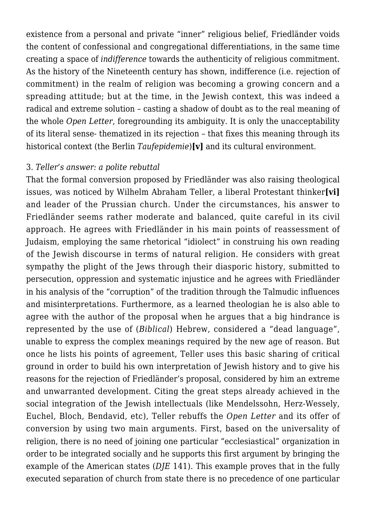existence from a personal and private "inner" religious belief, Friedländer voids the content of confessional and congregational differentiations, in the same time creating a space of *indifference* towards the authenticity of religious commitment. As the history of the Nineteenth century has shown, indifference (i.e. rejection of commitment) in the realm of religion was becoming a growing concern and a spreading attitude; but at the time, in the Jewish context, this was indeed a radical and extreme solution – casting a shadow of doubt as to the real meaning of the whole *Open Letter*, foregrounding its ambiguity. It is only the unacceptability of its literal sense- thematized in its rejection – that fixes this meaning through its historical context (the Berlin *Taufepidemie*)**[v]** and its cultural environment.

#### 3. *Teller's answer: a polite rebuttal*

That the formal conversion proposed by Friedländer was also raising theological issues, was noticed by Wilhelm Abraham Teller, a liberal Protestant thinker**[vi]** and leader of the Prussian church. Under the circumstances, his answer to Friedländer seems rather moderate and balanced, quite careful in its civil approach. He agrees with Friedländer in his main points of reassessment of Judaism, employing the same rhetorical "idiolect" in construing his own reading of the Jewish discourse in terms of natural religion. He considers with great sympathy the plight of the Jews through their diasporic history, submitted to persecution, oppression and systematic injustice and he agrees with Friedländer in his analysis of the "corruption" of the tradition through the Talmudic influences and misinterpretations. Furthermore, as a learned theologian he is also able to agree with the author of the proposal when he argues that a big hindrance is represented by the use of (*Biblical*) Hebrew, considered a "dead language", unable to express the complex meanings required by the new age of reason. But once he lists his points of agreement, Teller uses this basic sharing of critical ground in order to build his own interpretation of Jewish history and to give his reasons for the rejection of Friedländer's proposal, considered by him an extreme and unwarranted development. Citing the great steps already achieved in the social integration of the Jewish intellectuals (like Mendelssohn, Herz-Wessely, Euchel, Bloch, Bendavid, etc), Teller rebuffs the *Open Letter* and its offer of conversion by using two main arguments. First, based on the universality of religion, there is no need of joining one particular "ecclesiastical" organization in order to be integrated socially and he supports this first argument by bringing the example of the American states (*DJE* 141). This example proves that in the fully executed separation of church from state there is no precedence of one particular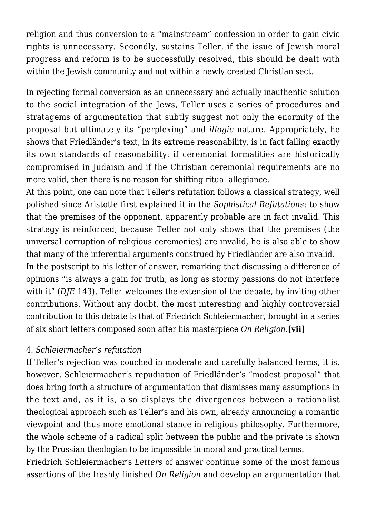religion and thus conversion to a "mainstream" confession in order to gain civic rights is unnecessary. Secondly, sustains Teller, if the issue of Jewish moral progress and reform is to be successfully resolved, this should be dealt with within the Jewish community and not within a newly created Christian sect.

In rejecting formal conversion as an unnecessary and actually inauthentic solution to the social integration of the Jews, Teller uses a series of procedures and stratagems of argumentation that subtly suggest not only the enormity of the proposal but ultimately its "perplexing" and *illogic* nature. Appropriately, he shows that Friedländer's text, in its extreme reasonability, is in fact failing exactly its own standards of reasonability: if ceremonial formalities are historically compromised in Judaism and if the Christian ceremonial requirements are no more valid, then there is no reason for shifting ritual allegiance.

At this point, one can note that Teller's refutation follows a classical strategy, well polished since Aristotle first explained it in the *Sophistical Refutations*: to show that the premises of the opponent, apparently probable are in fact invalid. This strategy is reinforced, because Teller not only shows that the premises (the universal corruption of religious ceremonies) are invalid, he is also able to show that many of the inferential arguments construed by Friedländer are also invalid.

In the postscript to his letter of answer, remarking that discussing a difference of opinions "is always a gain for truth, as long as stormy passions do not interfere with it" (*DJE* 143), Teller welcomes the extension of the debate, by inviting other contributions. Without any doubt, the most interesting and highly controversial contribution to this debate is that of Friedrich Schleiermacher, brought in a series of six short letters composed soon after his masterpiece *On Religion.***[vii]**

## 4. *Schleiermacher's refutation*

If Teller's rejection was couched in moderate and carefully balanced terms, it is, however, Schleiermacher's repudiation of Friedländer's "modest proposal" that does bring forth a structure of argumentation that dismisses many assumptions in the text and, as it is, also displays the divergences between a rationalist theological approach such as Teller's and his own, already announcing a romantic viewpoint and thus more emotional stance in religious philosophy. Furthermore, the whole scheme of a radical split between the public and the private is shown by the Prussian theologian to be impossible in moral and practical terms.

Friedrich Schleiermacher's *Letters* of answer continue some of the most famous assertions of the freshly finished *On Religion* and develop an argumentation that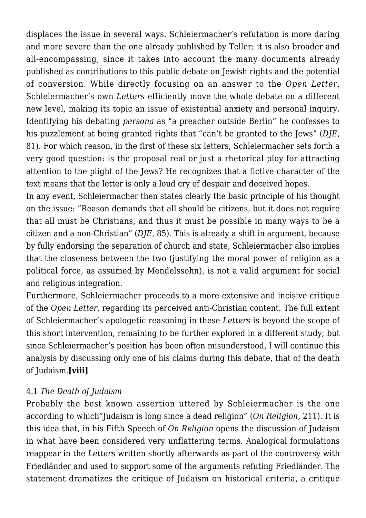displaces the issue in several ways. Schleiermacher's refutation is more daring and more severe than the one already published by Teller; it is also broader and all-encompassing, since it takes into account the many documents already published as contributions to this public debate on Jewish rights and the potential of conversion. While directly focusing on an answer to the *Open Letter*, Schleiermacher's own *Letters* efficiently move the whole debate on a different new level, making its topic an issue of existential anxiety and personal inquiry. Identifying his debating *persona* as "a preacher outside Berlin" he confesses to his puzzlement at being granted rights that "can't be granted to the Jews" (*DJE*, 81). For which reason, in the first of these six letters, Schleiermacher sets forth a very good question: is the proposal real or just a rhetorical ploy for attracting attention to the plight of the Jews? He recognizes that a fictive character of the text means that the letter is only a loud cry of despair and deceived hopes.

In any event, Schleiermacher then states clearly the basic principle of his thought on the issue: "Reason demands that all should be citizens, but it does not require that all must be Christians, and thus it must be possible in many ways to be a citizen and a non-Christian" (*DJE*, 85). This is already a shift in argument, because by fully endorsing the separation of church and state, Schleiermacher also implies that the closeness between the two (justifying the moral power of religion as a political force, as assumed by Mendelssohn), is not a valid argument for social and religious integration.

Furthermore, Schleiermacher proceeds to a more extensive and incisive critique of the *Open Letter*, regarding its perceived anti-Christian content. The full extent of Schleiermacher's apologetic reasoning in these *Letters* is beyond the scope of this short intervention, remaining to be further explored in a different study; but since Schleiermacher's position has been often misunderstood, I will continue this analysis by discussing only one of his claims during this debate, that of the death of Judaism.**[viii]**

# 4.1 *The Death of Judaism*

Probably the best known assertion uttered by Schleiermacher is the one according to which"Judaism is long since a dead religion" (*On Religion,* 211). It is this idea that, in his Fifth Speech of *On Religion* opens the discussion of Judaism in what have been considered very unflattering terms. Analogical formulations reappear in the *Letters* written shortly afterwards as part of the controversy with Friedländer and used to support some of the arguments refuting Friedländer. The statement dramatizes the critique of Judaism on historical criteria, a critique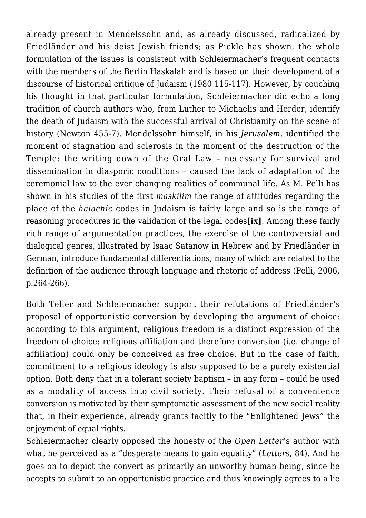already present in Mendelssohn and, as already discussed, radicalized by Friedländer and his deist Jewish friends; as Pickle has shown, the whole formulation of the issues is consistent with Schleiermacher's frequent contacts with the members of the Berlin Haskalah and is based on their development of a discourse of historical critique of Judaism (1980 115-117). However, by couching his thought in that particular formulation, Schleiermacher did echo a long tradition of church authors who, from Luther to Michaelis and Herder, identify the death of Judaism with the successful arrival of Christianity on the scene of history (Newton 455-7). Mendelssohn himself, in his *Jerusalem*, identified the moment of stagnation and sclerosis in the moment of the destruction of the Temple: the writing down of the Oral Law – necessary for survival and dissemination in diasporic conditions – caused the lack of adaptation of the ceremonial law to the ever changing realities of communal life. As M. Pelli has shown in his studies of the first *maskilim* the range of attitudes regarding the place of the *halachic* codes in Judaism is fairly large and so is the range of reasoning procedures in the validation of the legal codes**[ix]**. Among these fairly rich range of argumentation practices, the exercise of the controversial and dialogical genres, illustrated by Isaac Satanow in Hebrew and by Friedländer in German, introduce fundamental differentiations, many of which are related to the definition of the audience through language and rhetoric of address (Pelli, 2006, p.264-266).

Both Teller and Schleiermacher support their refutations of Friedländer's proposal of opportunistic conversion by developing the argument of choice: according to this argument, religious freedom is a distinct expression of the freedom of choice: religious affiliation and therefore conversion (i.e. change of affiliation) could only be conceived as free choice. But in the case of faith, commitment to a religious ideology is also supposed to be a purely existential option. Both deny that in a tolerant society baptism – in any form – could be used as a modality of access into civil society. Their refusal of a convenience conversion is motivated by their symptomatic assessment of the new social reality that, in their experience, already grants tacitly to the "Enlightened Jews" the enjoyment of equal rights.

Schleiermacher clearly opposed the honesty of the *Open Letter*'s author with what he perceived as a "desperate means to gain equality" (*Letters*, 84). And he goes on to depict the convert as primarily an unworthy human being, since he accepts to submit to an opportunistic practice and thus knowingly agrees to a lie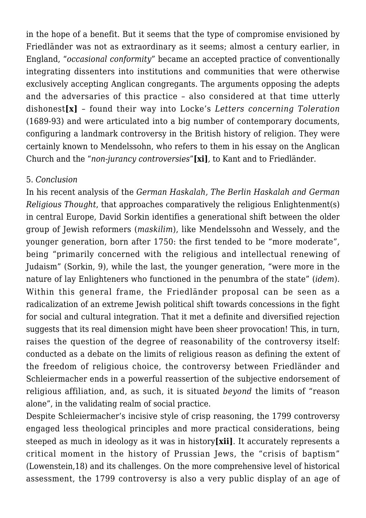in the hope of a benefit. But it seems that the type of compromise envisioned by Friedländer was not as extraordinary as it seems; almost a century earlier, in England, "*occasional conformity*" became an accepted practice of conventionally integrating dissenters into institutions and communities that were otherwise exclusively accepting Anglican congregants. The arguments opposing the adepts and the adversaries of this practice – also considered at that time utterly dishonest**[x]** – found their way into Locke's *Letters concerning Toleration* (1689-93) and were articulated into a big number of contemporary documents, configuring a landmark controversy in the British history of religion. They were certainly known to Mendelssohn, who refers to them in his essay on the Anglican Church and the "*non-jurancy controversies*"**[xi]***,* to Kant and to Friedländer.

#### 5. *Conclusion*

In his recent analysis of the *German Haskalah, The Berlin Haskalah and German Religious Thought*, that approaches comparatively the religious Enlightenment(s) in central Europe, David Sorkin identifies a generational shift between the older group of Jewish reformers (*maskilim*), like Mendelssohn and Wessely, and the younger generation, born after 1750: the first tended to be "more moderate", being "primarily concerned with the religious and intellectual renewing of Judaism" (Sorkin, 9), while the last, the younger generation, "were more in the nature of lay Enlighteners who functioned in the penumbra of the state" (*idem*). Within this general frame, the Friedländer proposal can be seen as a radicalization of an extreme Jewish political shift towards concessions in the fight for social and cultural integration. That it met a definite and diversified rejection suggests that its real dimension might have been sheer provocation! This, in turn, raises the question of the degree of reasonability of the controversy itself: conducted as a debate on the limits of religious reason as defining the extent of the freedom of religious choice, the controversy between Friedländer and Schleiermacher ends in a powerful reassertion of the subjective endorsement of religious affiliation, and, as such, it is situated *beyond* the limits of "reason alone", in the validating realm of social practice.

Despite Schleiermacher's incisive style of crisp reasoning, the 1799 controversy engaged less theological principles and more practical considerations, being steeped as much in ideology as it was in history**[xii]**. It accurately represents a critical moment in the history of Prussian Jews, the "crisis of baptism" (Lowenstein,18) and its challenges. On the more comprehensive level of historical assessment, the 1799 controversy is also a very public display of an age of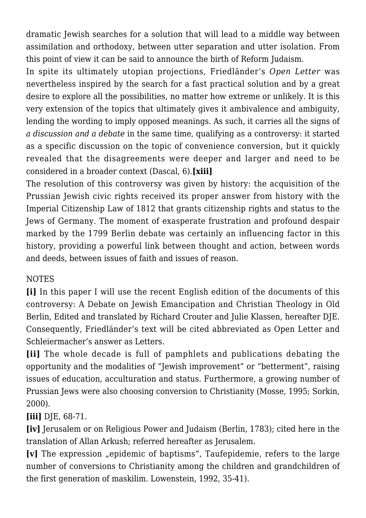dramatic Jewish searches for a solution that will lead to a middle way between assimilation and orthodoxy, between utter separation and utter isolation. From this point of view it can be said to announce the birth of Reform Judaism.

In spite its ultimately utopian projections, Friedländer's *Open Letter* was nevertheless inspired by the search for a fast practical solution and by a great desire to explore all the possibilities, no matter how extreme or unlikely. It is this very extension of the topics that ultimately gives it ambivalence and ambiguity, lending the wording to imply opposed meanings. As such, it carries all the signs of *a discussion and a debate* in the same time, qualifying as a controversy: it started as a specific discussion on the topic of convenience conversion, but it quickly revealed that the disagreements were deeper and larger and need to be considered in a broader context (Dascal, 6).**[xiii]**

The resolution of this controversy was given by history: the acquisition of the Prussian Jewish civic rights received its proper answer from history with the Imperial Citizenship Law of 1812 that grants citizenship rights and status to the Jews of Germany. The moment of exasperate frustration and profound despair marked by the 1799 Berlin debate was certainly an influencing factor in this history, providing a powerful link between thought and action, between words and deeds, between issues of faith and issues of reason.

# NOTES

**[i]** In this paper I will use the recent English edition of the documents of this controversy: A Debate on Jewish Emancipation and Christian Theology in Old Berlin, Edited and translated by Richard Crouter and Julie Klassen, hereafter DJE. Consequently, Friedländer's text will be cited abbreviated as Open Letter and Schleiermacher's answer as Letters.

**[ii]** The whole decade is full of pamphlets and publications debating the opportunity and the modalities of "Jewish improvement" or "betterment", raising issues of education, acculturation and status. Furthermore, a growing number of Prussian Jews were also choosing conversion to Christianity (Mosse, 1995; Sorkin, 2000).

**[iii]** DJE, 68-71.

**[iv]** Jerusalem or on Religious Power and Judaism (Berlin, 1783); cited here in the translation of Allan Arkush; referred hereafter as Jerusalem.

**[v]** The expression "epidemic of baptisms", Taufepidemie, refers to the large number of conversions to Christianity among the children and grandchildren of the first generation of maskilim. Lowenstein, 1992, 35-41).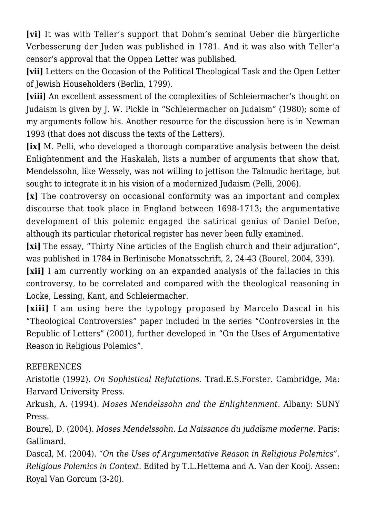**[vi]** It was with Teller's support that Dohm's seminal Ueber die bürgerliche Verbesserung der Juden was published in 1781. And it was also with Teller'a censor's approval that the Oppen Letter was published.

**[vii]** Letters on the Occasion of the Political Theological Task and the Open Letter of Jewish Householders (Berlin, 1799).

**[viii]** An excellent assessment of the complexities of Schleiermacher's thought on Judaism is given by J. W. Pickle in "Schleiermacher on Judaism" (1980); some of my arguments follow his. Another resource for the discussion here is in Newman 1993 (that does not discuss the texts of the Letters).

**[ix]** M. Pelli, who developed a thorough comparative analysis between the deist Enlightenment and the Haskalah, lists a number of arguments that show that, Mendelssohn, like Wessely, was not willing to jettison the Talmudic heritage, but sought to integrate it in his vision of a modernized Judaism (Pelli, 2006).

**[x]** The controversy on occasional conformity was an important and complex discourse that took place in England between 1698-1713; the argumentative development of this polemic engaged the satirical genius of Daniel Defoe, although its particular rhetorical register has never been fully examined.

**[xi]** The essay, "Thirty Nine articles of the English church and their adjuration", was published in 1784 in Berlinische Monatsschrift, 2, 24-43 (Bourel, 2004, 339).

**[xii]** I am currently working on an expanded analysis of the fallacies in this controversy, to be correlated and compared with the theological reasoning in Locke, Lessing, Kant, and Schleiermacher.

**[xiii]** I am using here the typology proposed by Marcelo Dascal in his "Theological Controversies" paper included in the series "Controversies in the Republic of Letters" (2001), further developed in "On the Uses of Argumentative Reason in Religious Polemics".

## REFERENCES

Aristotle (1992). *On Sophistical Refutations*. Trad.E.S.Forster. Cambridge, Ma: Harvard University Press.

Arkush, A. (1994). *Moses Mendelssohn and the Enlightenment.* Albany: SUNY Press.

Bourel, D. (2004). *Moses Mendelssohn. La Naissance du judaïsme moderne.* Paris: Gallimard.

Dascal, M. (2004). *"On the Uses of Argumentative Reason in Religious Polemics". Religious Polemics in Context*. Edited by T.L.Hettema and A. Van der Kooij. Assen: Royal Van Gorcum (3-20).